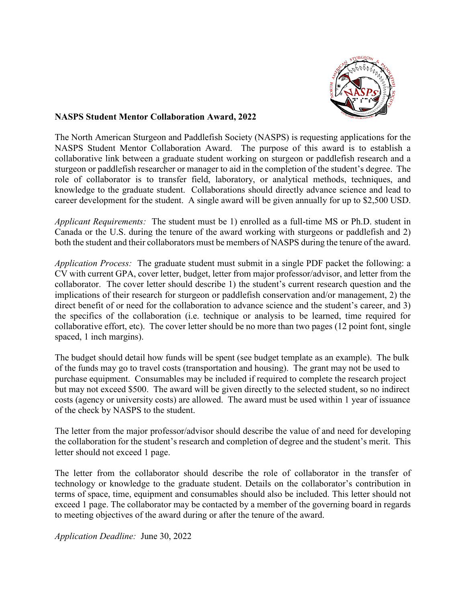

#### **NASPS Student Mentor Collaboration Award, 2022**

The North American Sturgeon and Paddlefish Society (NASPS) is requesting applications for the NASPS Student Mentor Collaboration Award. The purpose of this award is to establish a collaborative link between a graduate student working on sturgeon or paddlefish research and a sturgeon or paddlefish researcher or manager to aid in the completion of the student's degree. The role of collaborator is to transfer field, laboratory, or analytical methods, techniques, and knowledge to the graduate student. Collaborations should directly advance science and lead to career development for the student. A single award will be given annually for up to \$2,500 USD.

*Applicant Requirements:* The student must be 1) enrolled as a full-time MS or Ph.D. student in Canada or the U.S. during the tenure of the award working with sturgeons or paddlefish and 2) both the student and their collaborators must be members of NASPS during the tenure of the award.

*Application Process:* The graduate student must submit in a single PDF packet the following: a CV with current GPA, cover letter, budget, letter from major professor/advisor, and letter from the collaborator. The cover letter should describe 1) the student's current research question and the implications of their research for sturgeon or paddlefish conservation and/or management, 2) the direct benefit of or need for the collaboration to advance science and the student's career, and 3) the specifics of the collaboration (i.e. technique or analysis to be learned, time required for collaborative effort, etc). The cover letter should be no more than two pages (12 point font, single spaced, 1 inch margins).

The budget should detail how funds will be spent (see budget template as an example). The bulk of the funds may go to travel costs (transportation and housing). The grant may not be used to purchase equipment. Consumables may be included if required to complete the research project but may not exceed \$500. The award will be given directly to the selected student, so no indirect costs (agency or university costs) are allowed. The award must be used within 1 year of issuance of the check by NASPS to the student.

The letter from the major professor/advisor should describe the value of and need for developing the collaboration for the student's research and completion of degree and the student's merit. This letter should not exceed 1 page.

The letter from the collaborator should describe the role of collaborator in the transfer of technology or knowledge to the graduate student. Details on the collaborator's contribution in terms of space, time, equipment and consumables should also be included. This letter should not exceed 1 page. The collaborator may be contacted by a member of the governing board in regards to meeting objectives of the award during or after the tenure of the award.

*Application Deadline:* June 30, 2022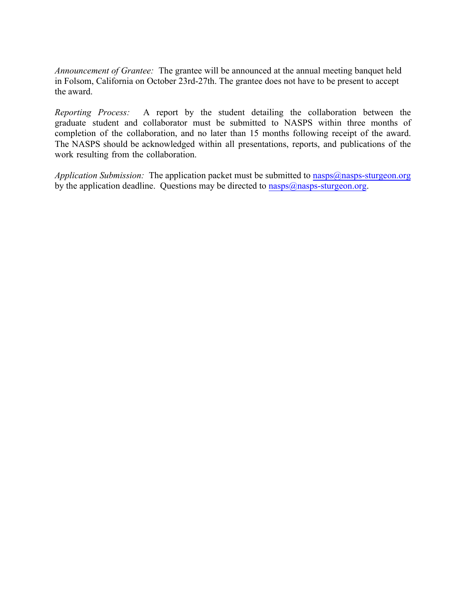*Announcement of Grantee:* The grantee will be announced at the annual meeting banquet held in Folsom, California on October 23rd-27th. The grantee does not have to be present to accept the award.

*Reporting Process:* A report by the student detailing the collaboration between the graduate student and collaborator must be submitted to NASPS within three months of completion of the collaboration, and no later than 15 months following receipt of the award. The NASPS should be acknowledged within all presentations, reports, and publications of the work resulting from the collaboration.

*Application Submission:* The application packet must be submitted to nasps@nasps-sturgeon.org by the application deadline. Questions may be directed to  $nags@nags$ -sturgeon.org.